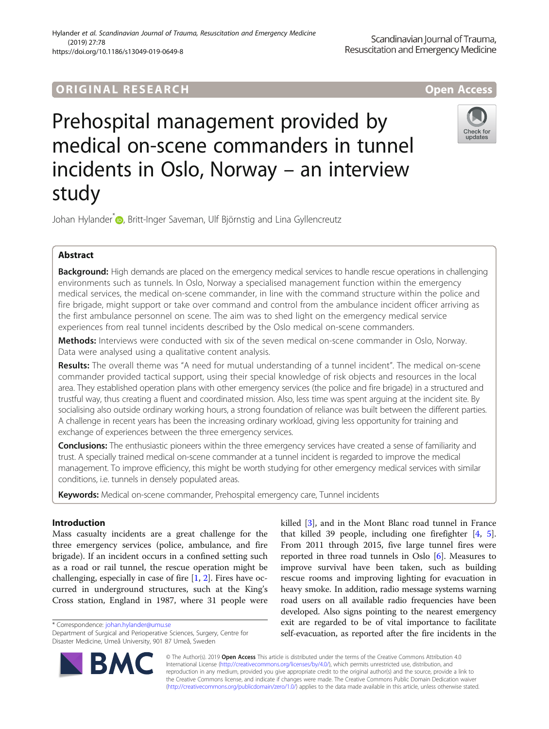# **ORIGINAL RESEARCH And Access** open Access

# Prehospital management provided by medical on-scene commanders in tunnel incidents in Oslo, Norway – an interview study



Johan Hylander<sup>\*</sup> <sub>D</sub>[,](http://orcid.org/0000-0003-1346-7200) Britt-Inger Saveman, Ulf Björnstig and Lina Gyllencreutz

# Abstract

Background: High demands are placed on the emergency medical services to handle rescue operations in challenging environments such as tunnels. In Oslo, Norway a specialised management function within the emergency medical services, the medical on-scene commander, in line with the command structure within the police and fire brigade, might support or take over command and control from the ambulance incident officer arriving as the first ambulance personnel on scene. The aim was to shed light on the emergency medical service experiences from real tunnel incidents described by the Oslo medical on-scene commanders.

Methods: Interviews were conducted with six of the seven medical on-scene commander in Oslo, Norway. Data were analysed using a qualitative content analysis.

Results: The overall theme was "A need for mutual understanding of a tunnel incident". The medical on-scene commander provided tactical support, using their special knowledge of risk objects and resources in the local area. They established operation plans with other emergency services (the police and fire brigade) in a structured and trustful way, thus creating a fluent and coordinated mission. Also, less time was spent arguing at the incident site. By socialising also outside ordinary working hours, a strong foundation of reliance was built between the different parties. A challenge in recent years has been the increasing ordinary workload, giving less opportunity for training and exchange of experiences between the three emergency services.

Conclusions: The enthusiastic pioneers within the three emergency services have created a sense of familiarity and trust. A specially trained medical on-scene commander at a tunnel incident is regarded to improve the medical management. To improve efficiency, this might be worth studying for other emergency medical services with similar conditions, i.e. tunnels in densely populated areas.

Keywords: Medical on-scene commander, Prehospital emergency care, Tunnel incidents

## Introduction

Mass casualty incidents are a great challenge for the three emergency services (police, ambulance, and fire brigade). If an incident occurs in a confined setting such as a road or rail tunnel, the rescue operation might be challenging, especially in case of fire [[1,](#page-5-0) [2](#page-5-0)]. Fires have occurred in underground structures, such at the King's Cross station, England in 1987, where 31 people were

\* Correspondence: [johan.hylander@umu.se](mailto:johan.hylander@umu.se)

BA

Department of Surgical and Perioperative Sciences, Surgery, Centre for Disaster Medicine, Umeå University, 901 87 Umeå, Sweden



© The Author(s). 2019 Open Access This article is distributed under the terms of the Creative Commons Attribution 4.0 International License [\(http://creativecommons.org/licenses/by/4.0/](http://creativecommons.org/licenses/by/4.0/)), which permits unrestricted use, distribution, and reproduction in any medium, provided you give appropriate credit to the original author(s) and the source, provide a link to the Creative Commons license, and indicate if changes were made. The Creative Commons Public Domain Dedication waiver [\(http://creativecommons.org/publicdomain/zero/1.0/](http://creativecommons.org/publicdomain/zero/1.0/)) applies to the data made available in this article, unless otherwise stated.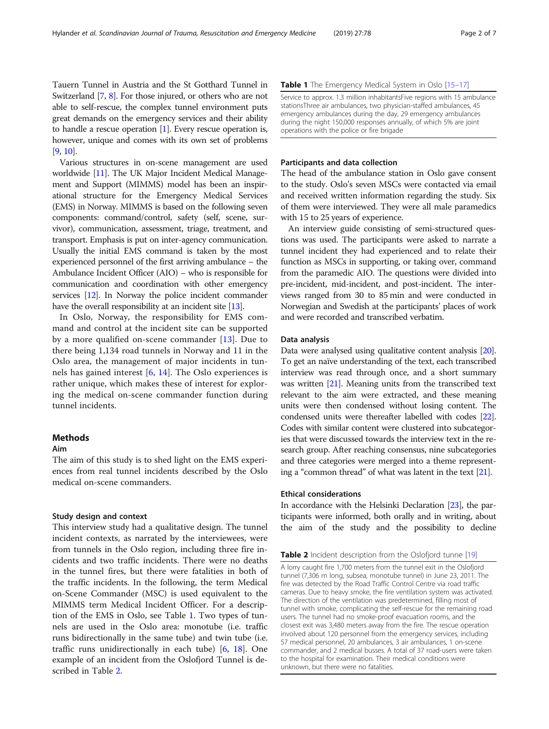Tauern Tunnel in Austria and the St Gotthard Tunnel in Switzerland [\[7](#page-5-0), [8\]](#page-6-0). For those injured, or others who are not able to self-rescue, the complex tunnel environment puts great demands on the emergency services and their ability to handle a rescue operation [\[1\]](#page-5-0). Every rescue operation is, however, unique and comes with its own set of problems [[9](#page-6-0), [10\]](#page-6-0).

Various structures in on-scene management are used worldwide [\[11](#page-6-0)]. The UK Major Incident Medical Management and Support (MIMMS) model has been an inspirational structure for the Emergency Medical Services (EMS) in Norway. MIMMS is based on the following seven components: command/control, safety (self, scene, survivor), communication, assessment, triage, treatment, and transport. Emphasis is put on inter-agency communication. Usually the initial EMS command is taken by the most experienced personnel of the first arriving ambulance – the Ambulance Incident Officer (AIO) – who is responsible for communication and coordination with other emergency services [\[12\]](#page-6-0). In Norway the police incident commander have the overall responsibility at an incident site [[13](#page-6-0)].

In Oslo, Norway, the responsibility for EMS command and control at the incident site can be supported by a more qualified on-scene commander [[13\]](#page-6-0). Due to there being 1,134 road tunnels in Norway and 11 in the Oslo area, the management of major incidents in tunnels has gained interest [\[6](#page-5-0), [14\]](#page-6-0). The Oslo experiences is rather unique, which makes these of interest for exploring the medical on-scene commander function during tunnel incidents.

### **Methods**

#### Aim

The aim of this study is to shed light on the EMS experiences from real tunnel incidents described by the Oslo medical on-scene commanders.

#### Study design and context

This interview study had a qualitative design. The tunnel incident contexts, as narrated by the interviewees, were from tunnels in the Oslo region, including three fire incidents and two traffic incidents. There were no deaths in the tunnel fires, but there were fatalities in both of the traffic incidents. In the following, the term Medical on-Scene Commander (MSC) is used equivalent to the MIMMS term Medical Incident Officer. For a description of the EMS in Oslo, see Table 1. Two types of tunnels are used in the Oslo area: monotube (i.e. traffic runs bidirectionally in the same tube) and twin tube (i.e. traffic runs unidirectionally in each tube) [[6](#page-5-0), [18](#page-6-0)]. One example of an incident from the Oslofjord Tunnel is described in Table 2.

#### Table 1 The Emergency Medical System in Oslo [\[15](#page-6-0)-[17\]](#page-6-0)

Service to approx. 1.3 million inhabitantsFive regions with 15 ambulance stationsThree air ambulances, two physician-staffed ambulances, 45 emergency ambulances during the day, 29 emergency ambulances during the night 150,000 responses annually, of which 5% are joint operations with the police or fire brigade

#### Participants and data collection

The head of the ambulance station in Oslo gave consent to the study. Oslo's seven MSCs were contacted via email and received written information regarding the study. Six of them were interviewed. They were all male paramedics with 15 to 25 years of experience.

An interview guide consisting of semi-structured questions was used. The participants were asked to narrate a tunnel incident they had experienced and to relate their function as MSCs in supporting, or taking over, command from the paramedic AIO. The questions were divided into pre-incident, mid-incident, and post-incident. The interviews ranged from 30 to 85 min and were conducted in Norwegian and Swedish at the participants' places of work and were recorded and transcribed verbatim.

#### Data analysis

Data were analysed using qualitative content analysis [[20](#page-6-0)]. To get an naïve understanding of the text, each transcribed interview was read through once, and a short summary was written [[21](#page-6-0)]. Meaning units from the transcribed text relevant to the aim were extracted, and these meaning units were then condensed without losing content. The condensed units were thereafter labelled with codes [\[22](#page-6-0)]. Codes with similar content were clustered into subcategories that were discussed towards the interview text in the research group. After reaching consensus, nine subcategories and three categories were merged into a theme representing a "common thread" of what was latent in the text [[21](#page-6-0)].

#### Ethical considerations

In accordance with the Helsinki Declaration [\[23\]](#page-6-0), the participants were informed, both orally and in writing, about the aim of the study and the possibility to decline

#### **Table 2** Incident description from the Oslofjord tunne [\[19\]](#page-6-0)

A lorry caught fire 1,700 meters from the tunnel exit in the Oslofjord tunnel (7,306 m long, subsea, monotube tunnel) in June 23, 2011. The fire was detected by the Road Traffic Control Centre via road traffic cameras. Due to heavy smoke, the fire ventilation system was activated. The direction of the ventilation was predetermined, filling most of tunnel with smoke, complicating the self-rescue for the remaining road users. The tunnel had no smoke-proof evacuation rooms, and the closest exit was 3,480 meters away from the fire. The rescue operation involved about 120 personnel from the emergency services, including 57 medical personnel, 20 ambulances, 3 air ambulances, 1 on-scene commander, and 2 medical busses. A total of 37 road-users were taken to the hospital for examination. Their medical conditions were unknown, but there were no fatalities.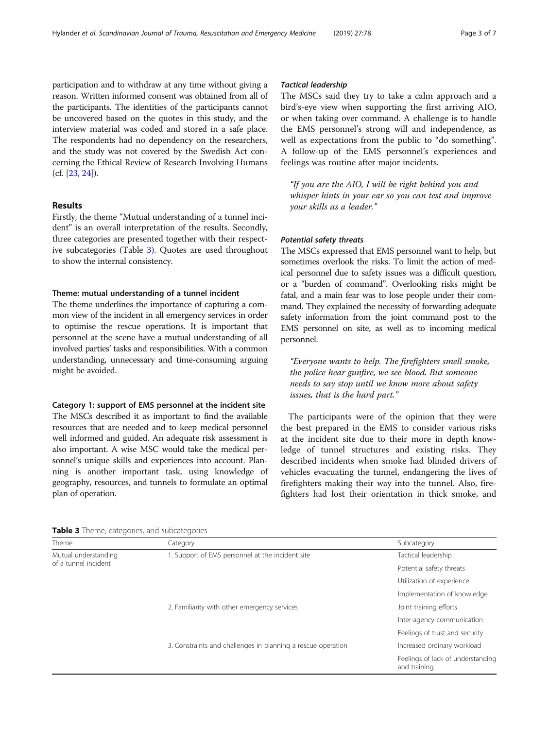participation and to withdraw at any time without giving a reason. Written informed consent was obtained from all of the participants. The identities of the participants cannot be uncovered based on the quotes in this study, and the interview material was coded and stored in a safe place. The respondents had no dependency on the researchers, and the study was not covered by the Swedish Act concerning the Ethical Review of Research Involving Humans (cf. [[23](#page-6-0), [24\]](#page-6-0)).

#### Results

Firstly, the theme "Mutual understanding of a tunnel incident" is an overall interpretation of the results. Secondly, three categories are presented together with their respective subcategories (Table 3). Quotes are used throughout to show the internal consistency.

#### Theme: mutual understanding of a tunnel incident

The theme underlines the importance of capturing a common view of the incident in all emergency services in order to optimise the rescue operations. It is important that personnel at the scene have a mutual understanding of all involved parties' tasks and responsibilities. With a common understanding, unnecessary and time-consuming arguing might be avoided.

#### Category 1: support of EMS personnel at the incident site

The MSCs described it as important to find the available resources that are needed and to keep medical personnel well informed and guided. An adequate risk assessment is also important. A wise MSC would take the medical personnel's unique skills and experiences into account. Planning is another important task, using knowledge of geography, resources, and tunnels to formulate an optimal plan of operation.

#### Tactical leadership

The MSCs said they try to take a calm approach and a bird's-eye view when supporting the first arriving AIO, or when taking over command. A challenge is to handle the EMS personnel's strong will and independence, as well as expectations from the public to "do something". A follow-up of the EMS personnel's experiences and feelings was routine after major incidents.

"If you are the AIO, I will be right behind you and whisper hints in your ear so you can test and improve your skills as a leader."

#### Potential safety threats

The MSCs expressed that EMS personnel want to help, but sometimes overlook the risks. To limit the action of medical personnel due to safety issues was a difficult question, or a "burden of command". Overlooking risks might be fatal, and a main fear was to lose people under their command. They explained the necessity of forwarding adequate safety information from the joint command post to the EMS personnel on site, as well as to incoming medical personnel.

"Everyone wants to help. The firefighters smell smoke, the police hear gunfire, we see blood. But someone needs to say stop until we know more about safety issues, that is the hard part."

The participants were of the opinion that they were the best prepared in the EMS to consider various risks at the incident site due to their more in depth knowledge of tunnel structures and existing risks. They described incidents when smoke had blinded drivers of vehicles evacuating the tunnel, endangering the lives of firefighters making their way into the tunnel. Also, firefighters had lost their orientation in thick smoke, and

Table 3 Theme, categories, and subcategories

| Theme                                        | Category                                                     | Subcategory                                       |
|----------------------------------------------|--------------------------------------------------------------|---------------------------------------------------|
|                                              |                                                              |                                                   |
| Mutual understanding<br>of a tunnel incident | 1. Support of EMS personnel at the incident site             | Tactical leadership                               |
|                                              |                                                              | Potential safety threats                          |
|                                              |                                                              | Utilization of experience                         |
|                                              |                                                              | Implementation of knowledge                       |
|                                              | 2. Familiarity with other emergency services                 | Joint training efforts                            |
|                                              |                                                              | Inter-agency communication                        |
|                                              |                                                              | Feelings of trust and security                    |
|                                              | 3. Constraints and challenges in planning a rescue operation | Increased ordinary workload                       |
|                                              |                                                              | Feelings of lack of understanding<br>and training |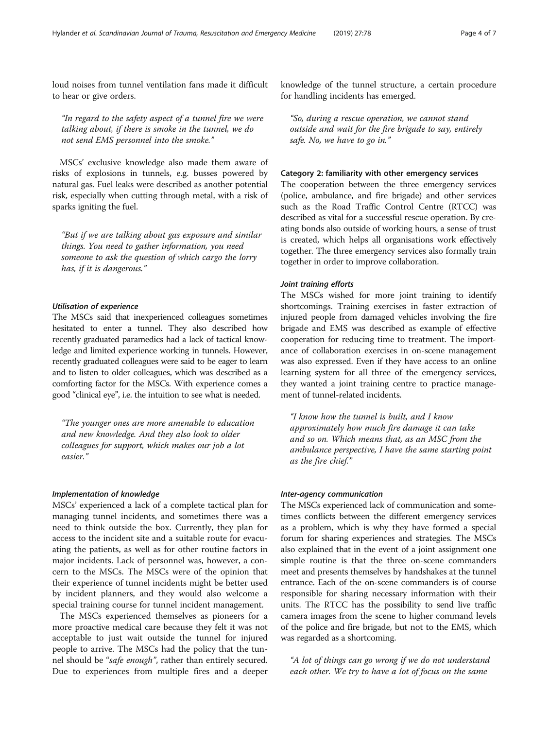loud noises from tunnel ventilation fans made it difficult to hear or give orders.

"In regard to the safety aspect of a tunnel fire we were talking about, if there is smoke in the tunnel, we do not send EMS personnel into the smoke."

MSCs' exclusive knowledge also made them aware of risks of explosions in tunnels, e.g. busses powered by natural gas. Fuel leaks were described as another potential risk, especially when cutting through metal, with a risk of sparks igniting the fuel.

"But if we are talking about gas exposure and similar things. You need to gather information, you need someone to ask the question of which cargo the lorry has, if it is dangerous."

#### Utilisation of experience

The MSCs said that inexperienced colleagues sometimes hesitated to enter a tunnel. They also described how recently graduated paramedics had a lack of tactical knowledge and limited experience working in tunnels. However, recently graduated colleagues were said to be eager to learn and to listen to older colleagues, which was described as a comforting factor for the MSCs. With experience comes a good "clinical eye", i.e. the intuition to see what is needed.

"The younger ones are more amenable to education and new knowledge. And they also look to older colleagues for support, which makes our job a lot easier."

#### Implementation of knowledge

MSCs' experienced a lack of a complete tactical plan for managing tunnel incidents, and sometimes there was a need to think outside the box. Currently, they plan for access to the incident site and a suitable route for evacuating the patients, as well as for other routine factors in major incidents. Lack of personnel was, however, a concern to the MSCs. The MSCs were of the opinion that their experience of tunnel incidents might be better used by incident planners, and they would also welcome a special training course for tunnel incident management.

The MSCs experienced themselves as pioneers for a more proactive medical care because they felt it was not acceptable to just wait outside the tunnel for injured people to arrive. The MSCs had the policy that the tunnel should be "*safe enough*", rather than entirely secured. Due to experiences from multiple fires and a deeper

knowledge of the tunnel structure, a certain procedure for handling incidents has emerged.

"So, during a rescue operation, we cannot stand outside and wait for the fire brigade to say, entirely safe. No, we have to go in."

#### Category 2: familiarity with other emergency services

The cooperation between the three emergency services (police, ambulance, and fire brigade) and other services such as the Road Traffic Control Centre (RTCC) was described as vital for a successful rescue operation. By creating bonds also outside of working hours, a sense of trust is created, which helps all organisations work effectively together. The three emergency services also formally train together in order to improve collaboration.

#### Joint training efforts

The MSCs wished for more joint training to identify shortcomings. Training exercises in faster extraction of injured people from damaged vehicles involving the fire brigade and EMS was described as example of effective cooperation for reducing time to treatment. The importance of collaboration exercises in on-scene management was also expressed. Even if they have access to an online learning system for all three of the emergency services, they wanted a joint training centre to practice management of tunnel-related incidents.

"I know how the tunnel is built, and I know approximately how much fire damage it can take and so on. Which means that, as an MSC from the ambulance perspective, I have the same starting point as the fire chief."

#### Inter-agency communication

The MSCs experienced lack of communication and sometimes conflicts between the different emergency services as a problem, which is why they have formed a special forum for sharing experiences and strategies. The MSCs also explained that in the event of a joint assignment one simple routine is that the three on-scene commanders meet and presents themselves by handshakes at the tunnel entrance. Each of the on-scene commanders is of course responsible for sharing necessary information with their units. The RTCC has the possibility to send live traffic camera images from the scene to higher command levels of the police and fire brigade, but not to the EMS, which was regarded as a shortcoming.

"A lot of things can go wrong if we do not understand each other. We try to have a lot of focus on the same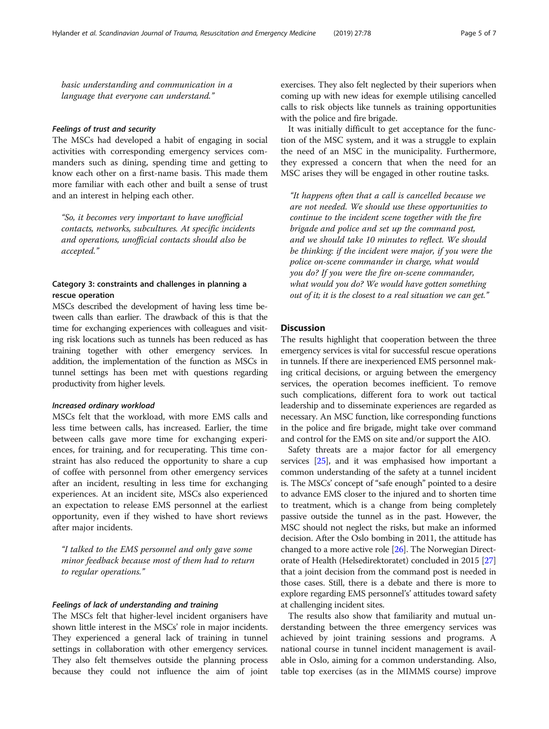basic understanding and communication in a language that everyone can understand."

#### Feelings of trust and security

The MSCs had developed a habit of engaging in social activities with corresponding emergency services commanders such as dining, spending time and getting to know each other on a first-name basis. This made them more familiar with each other and built a sense of trust and an interest in helping each other.

"So, it becomes very important to have unofficial contacts, networks, subcultures. At specific incidents and operations, unofficial contacts should also be accepted."

#### Category 3: constraints and challenges in planning a rescue operation

MSCs described the development of having less time between calls than earlier. The drawback of this is that the time for exchanging experiences with colleagues and visiting risk locations such as tunnels has been reduced as has training together with other emergency services. In addition, the implementation of the function as MSCs in tunnel settings has been met with questions regarding productivity from higher levels.

#### Increased ordinary workload

MSCs felt that the workload, with more EMS calls and less time between calls, has increased. Earlier, the time between calls gave more time for exchanging experiences, for training, and for recuperating. This time constraint has also reduced the opportunity to share a cup of coffee with personnel from other emergency services after an incident, resulting in less time for exchanging experiences. At an incident site, MSCs also experienced an expectation to release EMS personnel at the earliest opportunity, even if they wished to have short reviews after major incidents.

"I talked to the EMS personnel and only gave some minor feedback because most of them had to return to regular operations."

#### Feelings of lack of understanding and training

The MSCs felt that higher-level incident organisers have shown little interest in the MSCs' role in major incidents. They experienced a general lack of training in tunnel settings in collaboration with other emergency services. They also felt themselves outside the planning process because they could not influence the aim of joint exercises. They also felt neglected by their superiors when coming up with new ideas for exemple utilising cancelled calls to risk objects like tunnels as training opportunities with the police and fire brigade.

It was initially difficult to get acceptance for the function of the MSC system, and it was a struggle to explain the need of an MSC in the municipality. Furthermore, they expressed a concern that when the need for an MSC arises they will be engaged in other routine tasks.

"It happens often that a call is cancelled because we are not needed. We should use these opportunities to continue to the incident scene together with the fire brigade and police and set up the command post, and we should take 10 minutes to reflect. We should be thinking: if the incident were major, if you were the police on-scene commander in charge, what would you do? If you were the fire on-scene commander, what would you do? We would have gotten something out of it; it is the closest to a real situation we can get."

#### **Discussion**

The results highlight that cooperation between the three emergency services is vital for successful rescue operations in tunnels. If there are inexperienced EMS personnel making critical decisions, or arguing between the emergency services, the operation becomes inefficient. To remove such complications, different fora to work out tactical leadership and to disseminate experiences are regarded as necessary. An MSC function, like corresponding functions in the police and fire brigade, might take over command and control for the EMS on site and/or support the AIO.

Safety threats are a major factor for all emergency services [[25](#page-6-0)], and it was emphasised how important a common understanding of the safety at a tunnel incident is. The MSCs' concept of "safe enough" pointed to a desire to advance EMS closer to the injured and to shorten time to treatment, which is a change from being completely passive outside the tunnel as in the past. However, the MSC should not neglect the risks, but make an informed decision. After the Oslo bombing in 2011, the attitude has changed to a more active role [\[26\]](#page-6-0). The Norwegian Directorate of Health (Helsedirektoratet) concluded in 2015 [[27](#page-6-0)] that a joint decision from the command post is needed in those cases. Still, there is a debate and there is more to explore regarding EMS personnel's' attitudes toward safety at challenging incident sites.

The results also show that familiarity and mutual understanding between the three emergency services was achieved by joint training sessions and programs. A national course in tunnel incident management is available in Oslo, aiming for a common understanding. Also, table top exercises (as in the MIMMS course) improve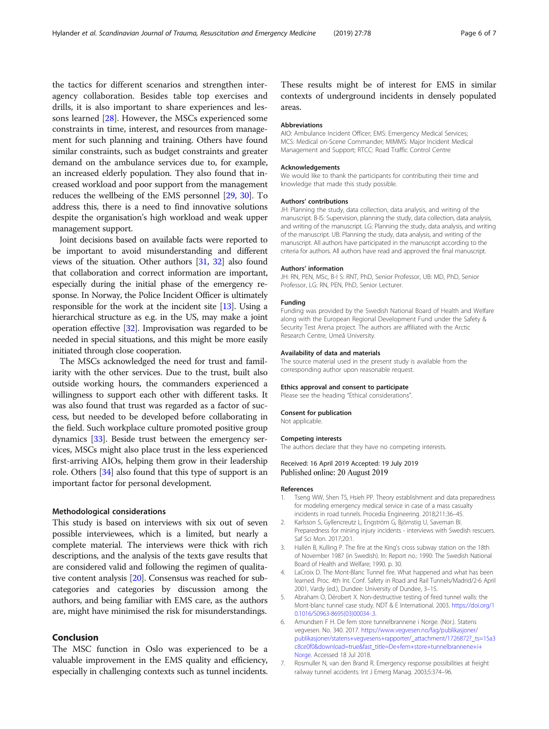<span id="page-5-0"></span>the tactics for different scenarios and strengthen interagency collaboration. Besides table top exercises and drills, it is also important to share experiences and lessons learned [[28\]](#page-6-0). However, the MSCs experienced some constraints in time, interest, and resources from management for such planning and training. Others have found similar constraints, such as budget constraints and greater demand on the ambulance services due to, for example, an increased elderly population. They also found that increased workload and poor support from the management reduces the wellbeing of the EMS personnel [\[29,](#page-6-0) [30](#page-6-0)]. To address this, there is a need to find innovative solutions despite the organisation's high workload and weak upper management support.

Joint decisions based on available facts were reported to be important to avoid misunderstanding and different views of the situation. Other authors [\[31,](#page-6-0) [32\]](#page-6-0) also found that collaboration and correct information are important, especially during the initial phase of the emergency response. In Norway, the Police Incident Officer is ultimately responsible for the work at the incident site [[13](#page-6-0)]. Using a hierarchical structure as e.g. in the US, may make a joint operation effective [[32](#page-6-0)]. Improvisation was regarded to be needed in special situations, and this might be more easily initiated through close cooperation.

The MSCs acknowledged the need for trust and familiarity with the other services. Due to the trust, built also outside working hours, the commanders experienced a willingness to support each other with different tasks. It was also found that trust was regarded as a factor of success, but needed to be developed before collaborating in the field. Such workplace culture promoted positive group dynamics [[33](#page-6-0)]. Beside trust between the emergency services, MSCs might also place trust in the less experienced first-arriving AIOs, helping them grow in their leadership role. Others [[34](#page-6-0)] also found that this type of support is an important factor for personal development.

#### Methodological considerations

This study is based on interviews with six out of seven possible interviewees, which is a limited, but nearly a complete material. The interviews were thick with rich descriptions, and the analysis of the texts gave results that are considered valid and following the regimen of qualitative content analysis [[20](#page-6-0)]. Consensus was reached for subcategories and categories by discussion among the authors, and being familiar with EMS care, as the authors are, might have minimised the risk for misunderstandings.

#### Conclusion

The MSC function in Oslo was experienced to be a valuable improvement in the EMS quality and efficiency, especially in challenging contexts such as tunnel incidents. These results might be of interest for EMS in similar contexts of underground incidents in densely populated areas.

#### **Abbreviations**

AIO: Ambulance Incident Officer; EMS: Emergency Medical Services; MCS: Medical on-Scene Commander; MIMMS: Major Incident Medical Management and Support; RTCC: Road Traffic Control Centre

#### Acknowledgements

We would like to thank the participants for contributing their time and knowledge that made this study possible.

#### Authors' contributions

JH: Planning the study, data collection, data analysis, and writing of the manuscript. B-IS: Supervision, planning the study, data collection, data analysis, and writing of the manuscript. LG: Planning the study, data analysis, and writing of the manuscript. UB: Planning the study, data analysis, and writing of the manuscript. All authors have participated in the manuscript according to the criteria for authors. All authors have read and approved the final manuscript.

#### Authors' information

JH: RN, PEN, MSc, B-I S: RNT, PhD, Senior Professor, UB: MD, PhD, Senior Professor, LG: RN, PEN, PhD, Senior Lecturer.

#### Funding

Funding was provided by the Swedish National Board of Health and Welfare along with the European Regional Development Fund under the Safety & Security Test Arena project. The authors are affiliated with the Arctic Research Centre, Umeå University.

#### Availability of data and materials

The source material used in the present study is available from the corresponding author upon reasonable request.

#### Ethics approval and consent to participate

Please see the heading "Ethical considerations".

### Consent for publication

Not applicable.

#### Competing interests

The authors declare that they have no competing interests.

Received: 16 April 2019 Accepted: 19 July 2019 Published online: 20 August 2019

#### References

- 1. Tseng WW, Shen TS, Hsieh PP. Theory establishment and data preparedness for modeling emergency medical service in case of a mass casualty incidents in road tunnels. Procedia Engineering. 2018;211:36–45.
- 2. Karlsson S, Gyllencreutz L, Engström G, Björnstig U, Saveman BI. Preparedness for mining injury incidents - interviews with Swedish rescuers. Saf Sci Mon. 2017;20:1.
- 3. Hallén B, Kulling P. The fire at the King's cross subway station on the 18th of November 1987 (in Swedish). In: Report no.: 1990: The Swedish National Board of Health and Welfare; 1990. p. 30.
- 4. LaCroix D. The Mont-Blanc Tunnel fire. What happened and what has been learned. Proc. 4th Int. Conf. Safety in Road and Rail Tunnels/Madrid/2-6 April 2001, Vardy (ed.), Dundee: University of Dundee, 3–15.
- 5. Abraham O, Dérobert X. Non-destructive testing of fired tunnel walls: the Mont-blanc tunnel case study. NDT & E International. 2003. [https://doi.org/1](https://doi.org/10.1016/S0963-8695(03)00034-.3) [0.1016/S0963-8695\(03\)00034-.3](https://doi.org/10.1016/S0963-8695(03)00034-.3).
- 6. Amundsen F H. De fem store tunnelbrannene i Norge. (Nor.). Statens vegvesen. No. 340. 2017. [https://www.vegvesen.no/fag/publikasjoner/](https://www.vegvesen.no/fag/publikasjoner/publikasjoner/statens+vegvesens+rapporter/_attachment/1726872?_ts=15a3c8ce0f0&download=true&fast_title=De+fem+store+tunnelbrannene+i+Norge) [publikasjoner/statens+vegvesens+rapporter/\\_attachment/1726872?\\_ts=15a3](https://www.vegvesen.no/fag/publikasjoner/publikasjoner/statens+vegvesens+rapporter/_attachment/1726872?_ts=15a3c8ce0f0&download=true&fast_title=De+fem+store+tunnelbrannene+i+Norge) [c8ce0f0&download=true&fast\\_title=De+fem+store+tunnelbrannene+i+](https://www.vegvesen.no/fag/publikasjoner/publikasjoner/statens+vegvesens+rapporter/_attachment/1726872?_ts=15a3c8ce0f0&download=true&fast_title=De+fem+store+tunnelbrannene+i+Norge) [Norge](https://www.vegvesen.no/fag/publikasjoner/publikasjoner/statens+vegvesens+rapporter/_attachment/1726872?_ts=15a3c8ce0f0&download=true&fast_title=De+fem+store+tunnelbrannene+i+Norge). Accessed 18 Jul 2018.
- 7. Rosmuller N, van den Brand R. Emergency response possibilities at freight railway tunnel accidents. Int J Emerg Manag. 2003;5:374–96.